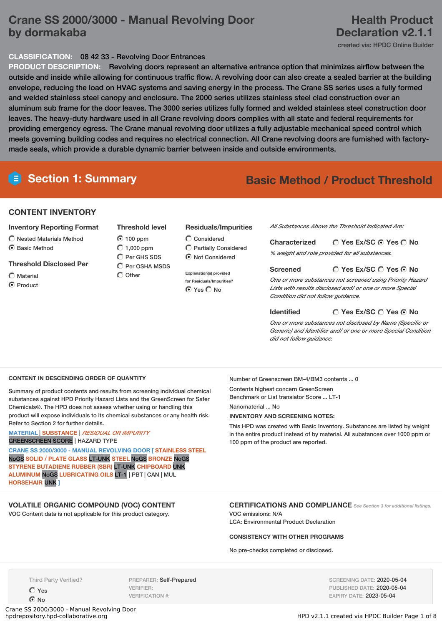## **Crane SS 2000/3000 - Manual Revolving Door by dormakaba**

## **Health Product Declaration v2.1.1**

created via: HPDC Online Builder

#### **CLASSIFICATION:** 08 42 33 - Revolving Door Entrances

**PRODUCT DESCRIPTION:** Revolving doors represent an alternative entrance option that minimizes airflow between the outside and inside while allowing for continuous traffic flow. A revolving door can also create a sealed barrier at the building envelope, reducing the load on HVAC systems and saving energy in the process. The Crane SS series uses a fully formed and welded stainless steel canopy and enclosure. The 2000 series utilizes stainless steel clad construction over an aluminum sub frame for the door leaves. The 3000 series utilizes fully formed and welded stainless steel construction door leaves. The heavy-duty hardware used in all Crane revolving doors complies with all state and federal requirements for providing emergency egress. The Crane manual revolving door utilizes a fully adjustable mechanical speed control which meets governing building codes and requires no electrical connection. All Crane revolving doors are furnished with factorymade seals, which provide a durable dynamic barrier between inside and outside environments.

# **Section 1: Summary Basic Method / Product Threshold**

#### **CONTENT INVENTORY**

#### **Inventory Reporting Format**

- $\bigcirc$  Nested Materials Method
- $\odot$  Basic Method

#### **Threshold Disclosed Per**

- $\bigcap$  Material
- C Product

## **Threshold level**  $O$  100 ppm

 $\bigcirc$  1,000 ppm C Per GHS SDS Per OSHA MSDS  $\bigcirc$  Other

#### **Residuals/Impurities**

Considered Partially Considered  $\odot$  Not Considered

**Explanation(s) provided for Residuals/Impurities?** ⊙ Yes O No

*All Substances Above the Threshold Indicated Are:*

**Yes Ex/SC Yes No Characterized** *% weight and role provided for all substances.*

#### **Screened**

#### **Yes Ex/SC Yes No**

*One or more substances not screened using Priority Hazard Lists with results disclosed and/ or one or more Special Condition did not follow guidance.*

#### **Yes Ex/SC Yes No Identified**

*One or more substances not disclosed by Name (Specific or Generic) and Identifier and/ or one or more Special Condition did not follow guidance.*

#### **CONTENT IN DESCENDING ORDER OF QUANTITY**

Summary of product contents and results from screening individual chemical substances against HPD Priority Hazard Lists and the GreenScreen for Safer Chemicals®. The HPD does not assess whether using or handling this product will expose individuals to its chemical substances or any health risk. Refer to Section 2 for further details.

#### **MATERIAL** | **SUBSTANCE** | *RESIDUAL OR IMPURITY* GREENSCREEN SCORE | HAZARD TYPE

**CRANE SS 2000/3000 - MANUAL REVOLVING DOOR [ STAINLESS STEEL** NoGS **SOLID / PLATE GLASS** LT-UNK **STEEL** NoGS **BRONZE** NoGS **STYRENE BUTADIENE RUBBER (SBR)** LT-UNK **CHIPBOARD** UNK **ALUMINUM** NoGS **LUBRICATING OILS** LT-1 | PBT | CAN | MUL **HORSEHAIR** UNK **]**

#### **VOLATILE ORGANIC COMPOUND (VOC) CONTENT**

VOC Content data is not applicable for this product category.

Number of Greenscreen BM-4/BM3 contents ... 0

Contents highest concern GreenScreen Benchmark or List translator Score ... LT-1

Nanomaterial ... No

#### **INVENTORY AND SCREENING NOTES:**

This HPD was created with Basic Inventory. Substances are listed by weight in the entire product instead of by material. All substances over 1000 ppm or 100 ppm of the product are reported.

### **CERTIFICATIONS AND COMPLIANCE** *See Section <sup>3</sup> for additional listings.*

VOC emissions: N/A LCA: Environmental Product Declaration

#### **CONSISTENCY WITH OTHER PROGRAMS**

No pre-checks completed or disclosed.

Third Party Verified?

Yes  $\odot$  No

PREPARER: Self-Prepared VERIFIER: VERIFICATION #:

SCREENING DATE: 2020-05-04 PUBLISHED DATE: 2020-05-04 EXPIRY DATE: 2023-05-04

Crane SS 2000/3000 - Manual Revolving Door

HPD v2.1.1 created via HPDC Builder Page 1 of 8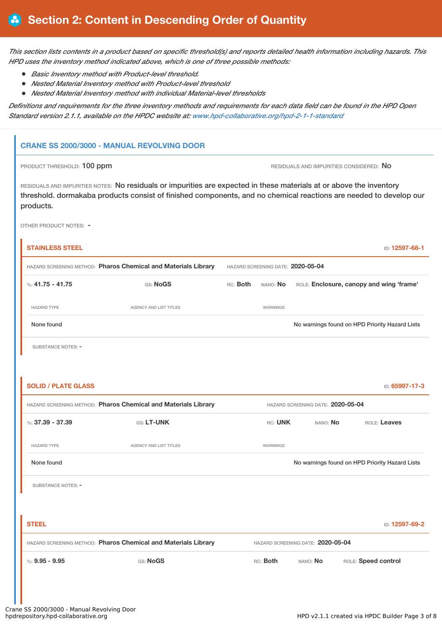This section lists contents in a product based on specific threshold(s) and reports detailed health information including hazards. This *HPD uses the inventory method indicated above, which is one of three possible methods:*

- *Basic Inventory method with Product-level threshold.*
- *Nested Material Inventory method with Product-level threshold*
- *Nested Material Inventory method with individual Material-level thresholds*

Definitions and requirements for the three inventory methods and requirements for each data field can be found in the HPD Open *Standard version 2.1.1, available on the HPDC website at: [www.hpd-collaborative.org/hpd-2-1-1-standard](https://www.hpd-collaborative.org/hpd-2-1-1-standard)*

#### **CRANE SS 2000/3000 - MANUAL REVOLVING DOOR**

PRODUCT THRESHOLD: 100 ppm **RESIDUALS AND IMPURITIES CONSIDERED:** No

RESIDUALS AND IMPURITIES NOTES: No residuals or impurities are expected in these materials at or above the inventory threshold. dormakaba products consist of finished components, and no chemical reactions are needed to develop our products.

OTHER PRODUCT NOTES: -

| <b>STAINLESS STEEL</b>                                                                              |                                                                |                                   |          |          | ID: 12597-68-1                                 |
|-----------------------------------------------------------------------------------------------------|----------------------------------------------------------------|-----------------------------------|----------|----------|------------------------------------------------|
|                                                                                                     | HAZARD SCREENING METHOD: Pharos Chemical and Materials Library | HAZARD SCREENING DATE: 2020-05-04 |          |          |                                                |
| %: $41.75 - 41.75$                                                                                  | GS: NoGS                                                       | RC: Both                          | NANO: No |          | ROLE: Enclosure, canopy and wing 'frame'       |
| <b>HAZARD TYPE</b>                                                                                  | AGENCY AND LIST TITLES                                         |                                   | WARNINGS |          |                                                |
| None found                                                                                          |                                                                |                                   |          |          | No warnings found on HPD Priority Hazard Lists |
| SUBSTANCE NOTES: -                                                                                  |                                                                |                                   |          |          |                                                |
|                                                                                                     |                                                                |                                   |          |          |                                                |
| <b>SOLID / PLATE GLASS</b>                                                                          |                                                                |                                   |          |          | ID: 65997-17-3                                 |
| HAZARD SCREENING METHOD: Pharos Chemical and Materials Library<br>HAZARD SCREENING DATE: 2020-05-04 |                                                                |                                   |          |          |                                                |
| $%37.39 - 37.39$                                                                                    | GS: LT-UNK                                                     |                                   | RC: UNK  | NANO: No | ROLE: Leaves                                   |
| <b>HAZARD TYPE</b>                                                                                  | AGENCY AND LIST TITLES                                         |                                   | WARNINGS |          |                                                |
| None found                                                                                          |                                                                |                                   |          |          | No warnings found on HPD Priority Hazard Lists |
| <b>SUBSTANCE NOTES: -</b>                                                                           |                                                                |                                   |          |          |                                                |
|                                                                                                     |                                                                |                                   |          |          |                                                |
| <b>STEEL</b>                                                                                        |                                                                |                                   |          |          | ID: 12597-69-2                                 |
| HAZARD SCREENING METHOD: Pharos Chemical and Materials Library<br>HAZARD SCREENING DATE: 2020-05-04 |                                                                |                                   |          |          |                                                |
| $\%: 9.95 - 9.95$                                                                                   | GS: NoGS                                                       |                                   | RC: Both | NANO: No | ROLE: Speed control                            |
|                                                                                                     |                                                                |                                   |          |          |                                                |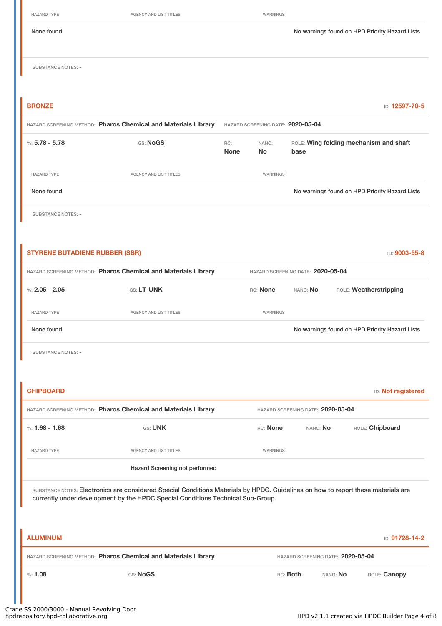| <b>HAZARD TYPE</b>                    | AGENCY AND LIST TITLES                                         |                    | WARNINGS                          |          |                                                |                |
|---------------------------------------|----------------------------------------------------------------|--------------------|-----------------------------------|----------|------------------------------------------------|----------------|
| None found                            |                                                                |                    |                                   |          | No warnings found on HPD Priority Hazard Lists |                |
| SUBSTANCE NOTES: -                    |                                                                |                    |                                   |          |                                                |                |
| <b>BRONZE</b>                         |                                                                |                    |                                   |          |                                                | ID: 12597-70-5 |
|                                       | HAZARD SCREENING METHOD: Pharos Chemical and Materials Library |                    | HAZARD SCREENING DATE: 2020-05-04 |          |                                                |                |
| %: $5.78 - 5.78$                      | GS: NoGS                                                       | RC:<br><b>None</b> | NANO:<br><b>No</b>                | base     | ROLE: Wing folding mechanism and shaft         |                |
| <b>HAZARD TYPE</b>                    | AGENCY AND LIST TITLES                                         |                    | WARNINGS                          |          |                                                |                |
| None found                            |                                                                |                    |                                   |          | No warnings found on HPD Priority Hazard Lists |                |
| <b>SUBSTANCE NOTES: -</b>             |                                                                |                    |                                   |          |                                                |                |
|                                       |                                                                |                    |                                   |          |                                                |                |
| <b>STYRENE BUTADIENE RUBBER (SBR)</b> |                                                                |                    |                                   |          |                                                | ID: 9003-55-8  |
|                                       | HAZARD SCREENING METHOD: Pharos Chemical and Materials Library |                    | HAZARD SCREENING DATE: 2020-05-04 |          |                                                |                |
| %: $2.05 - 2.05$                      | GS: LT-UNK                                                     |                    | RC: None                          | NANO: No | ROLE: Weatherstripping                         |                |
| <b>HAZARD TYPE</b>                    | AGENCY AND LIST TITLES                                         |                    | WARNINGS                          |          |                                                |                |

None found Nowarnings found on HPD Priority Hazard Lists

SUBSTANCE NOTES: -

| <b>CHIPBOARD</b>                                               |                                |                                   |                 | <b>ID:</b> Not registered |  |
|----------------------------------------------------------------|--------------------------------|-----------------------------------|-----------------|---------------------------|--|
| HAZARD SCREENING METHOD: Pharos Chemical and Materials Library |                                | HAZARD SCREENING DATE: 2020-05-04 |                 |                           |  |
| %: 1.68 - 1.68                                                 | <b>GS: UNK</b>                 | RC: None                          | NANO: <b>No</b> | ROLE: Chipboard           |  |
| <b>HAZARD TYPE</b>                                             | <b>AGENCY AND LIST TITLES</b>  | <b>WARNINGS</b>                   |                 |                           |  |
|                                                                | Hazard Screening not performed |                                   |                 |                           |  |

SUBSTANCE NOTES: Electronics are considered Special Conditions Materials by HPDC. Guidelines on how to report these materials are currently under development by the HPDC Special Conditions Technical Sub-Group.

| <b>ALUMINUM</b> |                                                                |                                   |          | ID: 91728-14-2 |
|-----------------|----------------------------------------------------------------|-----------------------------------|----------|----------------|
|                 | HAZARD SCREENING METHOD: Pharos Chemical and Materials Library | HAZARD SCREENING DATE: 2020-05-04 |          |                |
| %1.08           | GS: NoGS                                                       | RC: Both                          | NANO: No | ROLE: Canopy   |

L.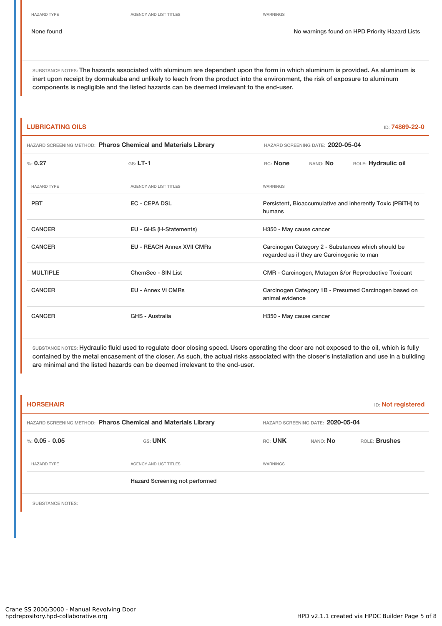HAZARD TYPE **AGENCY AND LIST TITLES** WARNINGS

HAZARD SCREENING METHOD: **Pharos Chemical and Materials Library** HAZARD SCREENING DATE: **2020-05-04**

None found Nowarnings found on HPD Priority Hazard Lists

SUBSTANCE NOTES: The hazards associated with aluminum are dependent upon the form in which aluminum is provided. As aluminum is inert upon receipt by dormakaba and unlikely to leach from the product into the environment, the risk of exposure to aluminum components is negligible and the listed hazards can be deemed irrelevant to the end-user.

#### **LUBRICATING OILS** ID: **74869-22-0**

|  |  | HAZARD SCREENING METHOD: Pharos Chemical and Materials Library |  |
|--|--|----------------------------------------------------------------|--|
|--|--|----------------------------------------------------------------|--|

| $\%: 0.27$         | $GS: LT-1$                        | RC: None<br>NANO: <b>No</b><br>ROLE: Hydraulic oil                                                |
|--------------------|-----------------------------------|---------------------------------------------------------------------------------------------------|
| <b>HAZARD TYPE</b> | <b>AGENCY AND LIST TITLES</b>     | <b>WARNINGS</b>                                                                                   |
| <b>PBT</b>         | <b>EC - CEPA DSL</b>              | Persistent, Bioaccumulative and inherently Toxic (PBITH) to<br>humans                             |
| <b>CANCER</b>      | EU - GHS (H-Statements)           | H350 - May cause cancer                                                                           |
| <b>CANCER</b>      | <b>EU - REACH Annex XVII CMRs</b> | Carcinogen Category 2 - Substances which should be<br>regarded as if they are Carcinogenic to man |
| <b>MULTIPLE</b>    | ChemSec - SIN List                | CMR - Carcinogen, Mutagen &/or Reproductive Toxicant                                              |
| <b>CANCER</b>      | <b>EU - Annex VI CMRs</b>         | Carcinogen Category 1B - Presumed Carcinogen based on<br>animal evidence                          |
| <b>CANCER</b>      | GHS - Australia                   | H350 - May cause cancer                                                                           |
|                    |                                   |                                                                                                   |

SUBSTANCE NOTES: Hydraulic fluid used to regulate door closing speed. Users operating the door are not exposed to the oil, which is fully contained by the metal encasement of the closer. As such, the actual risks associated with the closer's installation and use in a building are minimal and the listed hazards can be deemed irrelevant to the end-user.

| <b>HORSEHAIR</b>                                               |                                |                                   |                 | <b>ID:</b> Not registered |  |
|----------------------------------------------------------------|--------------------------------|-----------------------------------|-----------------|---------------------------|--|
| HAZARD SCREENING METHOD: Pharos Chemical and Materials Library |                                | HAZARD SCREENING DATE: 2020-05-04 |                 |                           |  |
| %: $0.05 - 0.05$                                               | GS: UNK                        | RC: UNK                           | NANO: <b>No</b> | ROLE: Brushes             |  |
| <b>HAZARD TYPE</b>                                             | AGENCY AND LIST TITLES         | WARNINGS                          |                 |                           |  |
|                                                                | Hazard Screening not performed |                                   |                 |                           |  |
|                                                                |                                |                                   |                 |                           |  |

SUBSTANCE NOTES: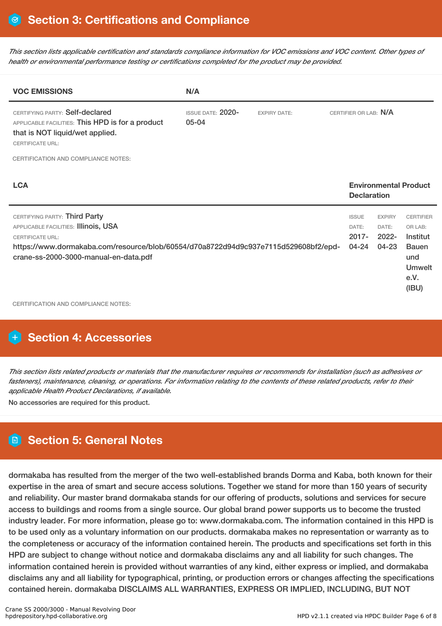This section lists applicable certification and standards compliance information for VOC emissions and VOC content. Other types of *health or environmental performance testing or certifications completed for the product may be provided.*

| N/A                                   |                     |                                                                                     |                                                 |                                                                                                  |
|---------------------------------------|---------------------|-------------------------------------------------------------------------------------|-------------------------------------------------|--------------------------------------------------------------------------------------------------|
| <b>ISSUE DATE: 2020-</b><br>$05 - 04$ | <b>EXPIRY DATE:</b> |                                                                                     |                                                 |                                                                                                  |
|                                       |                     |                                                                                     |                                                 |                                                                                                  |
|                                       |                     |                                                                                     |                                                 |                                                                                                  |
|                                       |                     |                                                                                     | <b>EXPIRY</b><br>DATE:<br>$2022 -$<br>$04 - 23$ | <b>CERTIFIER</b><br>OR LAB:<br>Institut<br><b>Bauen</b><br>und<br><b>Umwelt</b><br>e.V.<br>(IBU) |
|                                       |                     | https://www.dormakaba.com/resource/blob/60554/d70a8722d94d9c937e7115d529608bf2/epd- | <b>ISSUE</b><br>DATE:<br>$2017 -$<br>04-24      | CERTIFIER OR LAB: N/A<br><b>Environmental Product</b><br><b>Declaration</b>                      |

## **Section 4: Accessories**

This section lists related products or materials that the manufacturer requires or recommends for installation (such as adhesives or fasteners), maintenance, cleaning, or operations. For information relating to the contents of these related products, refer to their *applicable Health Product Declarations, if available.*

No accessories are required for this product.

## **Section 5: General Notes**

dormakaba has resulted from the merger of the two well-established brands Dorma and Kaba, both known for their expertise in the area of smart and secure access solutions. Together we stand for more than 150 years of security and reliability. Our master brand dormakaba stands for our offering of products, solutions and services for secure access to buildings and rooms from a single source. Our global brand power supports us to become the trusted industry leader. For more information, please go to: www.dormakaba.com. The information contained in this HPD is to be used only as a voluntary information on our products. dormakaba makes no representation or warranty as to the completeness or accuracy of the information contained herein. The products and specifications set forth in this HPD are subject to change without notice and dormakaba disclaims any and all liability for such changes. The information contained herein is provided without warranties of any kind, either express or implied, and dormakaba disclaims any and all liability for typographical, printing, or production errors or changes affecting the specifications contained herein. dormakaba DISCLAIMS ALL WARRANTIES, EXPRESS OR IMPLIED, INCLUDING, BUT NOT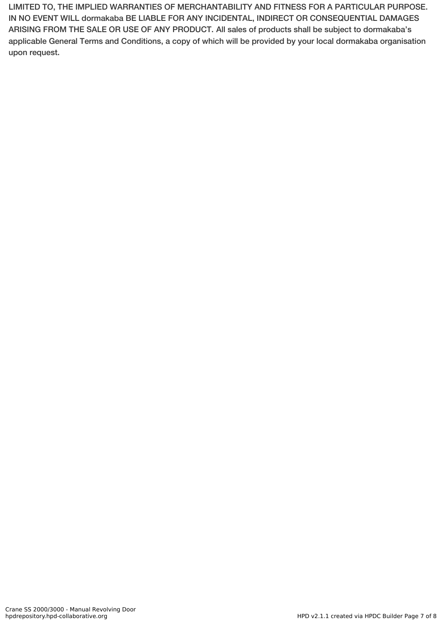LIMITED TO, THE IMPLIED WARRANTIES OF MERCHANTABILITY AND FITNESS FOR A PARTICULAR PURPOSE. IN NO EVENT WILL dormakaba BE LIABLE FOR ANY INCIDENTAL, INDIRECT OR CONSEQUENTIAL DAMAGES ARISING FROM THE SALE OR USE OF ANY PRODUCT. All sales of products shall be subject to dormakaba's applicable General Terms and Conditions, a copy of which will be provided by your local dormakaba organisation upon request.